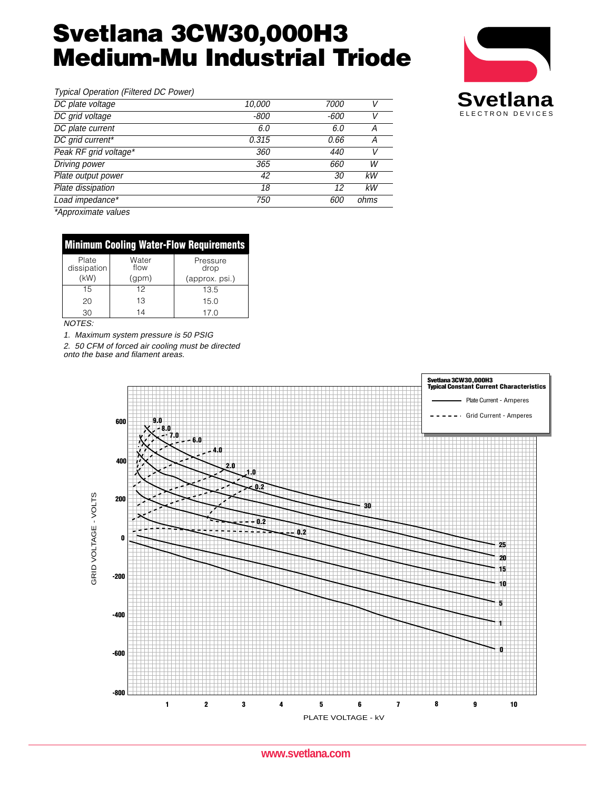# **Svetlana 3CW30,000H3 Medium-Mu Industrial Triode**



| Typical Operation (Filtered DC Power) |        |      |      |                  |
|---------------------------------------|--------|------|------|------------------|
| DC plate voltage                      | 10,000 | 7000 |      | <b>Svetlana</b>  |
| DC grid voltage                       | $-800$ | -600 |      | ELECTRON DEVICES |
| DC plate current                      | 6.0    | 6.0  | A    |                  |
| DC grid current*                      | 0.315  | 0.66 |      |                  |
| Peak RF grid voltage*                 | 360    | 440  |      |                  |
| <b>Driving power</b>                  | 365    | 660  | W    |                  |
| Plate output power                    | 42     | 30   | kW   |                  |
| Plate dissipation                     | 18     |      | kW   |                  |
| Load impedance*                       | 750    | 600  | ohms |                  |
|                                       |        |      |      |                  |

\*Approximate values

| <b>Minimum Cooling Water-Flow Requirements</b> |               |                  |  |  |  |  |
|------------------------------------------------|---------------|------------------|--|--|--|--|
| Plate<br>dissipation                           | Water<br>flow | Pressure<br>drop |  |  |  |  |
| (kW)                                           | (gpm)         | (approx. psi.)   |  |  |  |  |
| 15                                             | 12            | 13.5             |  |  |  |  |
| 20                                             | 13            | 15.0             |  |  |  |  |
| 30                                             | 14            | 17.0             |  |  |  |  |

NOTES:

1. Maximum system pressure is 50 PSIG

2. 50 CFM of forced air cooling must be directed onto the base and filament areas.



**www.svetlana.com**